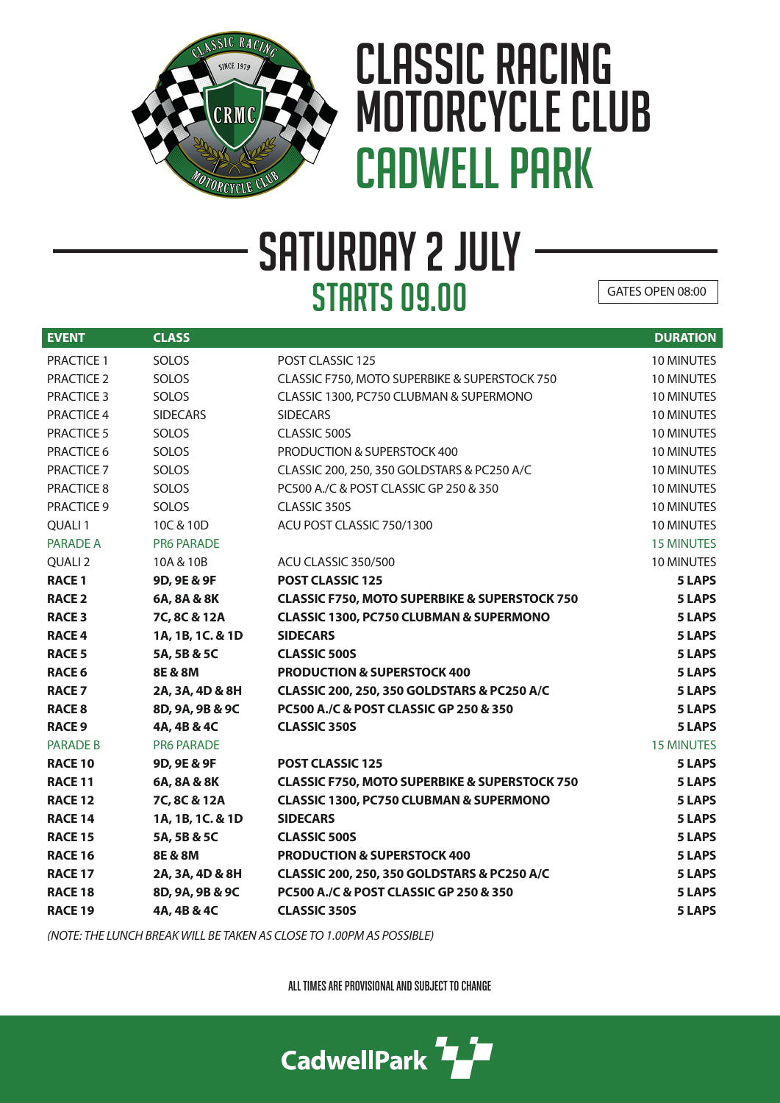

## CLASSIC RACING MOTORCYCLE CLUB CADWELL PARK

## SATURDAY 2 JULY **STARTS 09.00**

GATES OPEN 08:00

| <b>EVENT</b>       | <b>CLASS</b>      |                                                          | <b>DURATION</b>   |
|--------------------|-------------------|----------------------------------------------------------|-------------------|
| <b>PRACTICE 1</b>  | SOLOS             | POST CLASSIC 125                                         | 10 MINUTES        |
| <b>PRACTICE 2</b>  | SOLOS             | CLASSIC F750, MOTO SUPERBIKE & SUPERSTOCK 750            | 10 MINUTES        |
| <b>PRACTICE 3</b>  | SOLOS             | CLASSIC 1300, PC750 CLUBMAN & SUPERMONO                  | 10 MINUTES        |
| PRACTICE 4         | <b>SIDECARS</b>   | <b>SIDECARS</b>                                          | 10 MINUTES        |
| <b>PRACTICE 5</b>  | SOLOS             | CLASSIC 500S                                             | 10 MINUTES        |
| PRACTICE 6         | SOLOS             | PRODUCTION & SUPERSTOCK 400                              | 10 MINUTES        |
| PRACTICE 7         | SOLOS             | CLASSIC 200, 250, 350 GOLDSTARS & PC250 A/C              | 10 MINUTES        |
| PRACTICE 8         | SOLOS             | PC500 A./C & POST CLASSIC GP 250 & 350                   | 10 MINUTES        |
| <b>PRACTICE 9</b>  | <b>SOLOS</b>      | CLASSIC 350S                                             | 10 MINUTES        |
| QUALI <sub>1</sub> | 10C & 10D         | ACU POST CLASSIC 750/1300                                | 10 MINUTES        |
| <b>PARADE A</b>    | <b>PR6 PARADE</b> |                                                          | <b>15 MINUTES</b> |
| QUALI <sub>2</sub> | 10A & 10B         | ACU CLASSIC 350/500                                      | 10 MINUTES        |
| <b>RACE 1</b>      | 9D, 9E & 9F       | POST CLASSIC 125                                         | 5 LAPS            |
| <b>RACE 2</b>      | 6A, 8A & 8K       | <b>CLASSIC F750, MOTO SUPERBIKE &amp; SUPERSTOCK 750</b> | 5 LAPS            |
| <b>RACE 3</b>      | 7C, 8C & 12A      | <b>CLASSIC 1300, PC750 CLUBMAN &amp; SUPERMONO</b>       | 5 LAPS            |
| <b>RACE 4</b>      | 1A, 1B, 1C. & 1D  | <b>SIDECARS</b>                                          | <b>5 LAPS</b>     |
| <b>RACE 5</b>      | 5A, 5B & 5C       | <b>CLASSIC 500S</b>                                      | <b>5 LAPS</b>     |
| <b>RACE 6</b>      | 8E & 8M           | <b>PRODUCTION &amp; SUPERSTOCK 400</b>                   | <b>5 LAPS</b>     |
| <b>RACE 7</b>      | 2A, 3A, 4D & 8H   | CLASSIC 200, 250, 350 GOLDSTARS & PC250 A/C              | 5 LAPS            |
| <b>RACE 8</b>      | 8D, 9A, 9B & 9C   | <b>PC500 A./C &amp; POST CLASSIC GP 250 &amp; 350</b>    | 5 LAPS            |
| <b>RACE 9</b>      | 4A, 4B & 4C       | <b>CLASSIC 350S</b>                                      | <b>5 LAPS</b>     |
| <b>PARADE B</b>    | <b>PR6 PARADE</b> |                                                          | <b>15 MINUTES</b> |
| <b>RACE 10</b>     | 9D, 9E & 9F       | <b>POST CLASSIC 125</b>                                  | 5 LAPS            |
| <b>RACE 11</b>     | 6A, 8A & 8K       | <b>CLASSIC F750, MOTO SUPERBIKE &amp; SUPERSTOCK 750</b> | 5 LAPS            |
| <b>RACE 12</b>     | 7C, 8C & 12A      | <b>CLASSIC 1300, PC750 CLUBMAN &amp; SUPERMONO</b>       | 5 LAPS            |
| <b>RACE 14</b>     | 1A, 1B, 1C. & 1D  | <b>SIDECARS</b>                                          | <b>5 LAPS</b>     |
| <b>RACE 15</b>     | 5A, 5B & 5C       | <b>CLASSIC 500S</b>                                      | 5 LAPS            |
| <b>RACE 16</b>     | 8E & 8M           | <b>PRODUCTION &amp; SUPERSTOCK 400</b>                   | 5 LAPS            |
| <b>RACE 17</b>     | 2A, 3A, 4D & 8H   | CLASSIC 200, 250, 350 GOLDSTARS & PC250 A/C              | <b>5 LAPS</b>     |
| <b>RACE 18</b>     | 8D, 9A, 9B & 9C   | PC500 A./C & POST CLASSIC GP 250 & 350                   | 5 LAPS            |
| <b>RACE 19</b>     | 4A, 4B & 4C       | <b>CLASSIC 350S</b>                                      | <b>5 LAPS</b>     |
|                    |                   |                                                          |                   |

*(NOTE: THE LUNCH BREAK WILL BE TAKEN AS CLOSE TO 1.00PM AS POSSIBLE)*

ALL TIMES ARE PROVISIONAL AND SUBJECT TO CHANGE